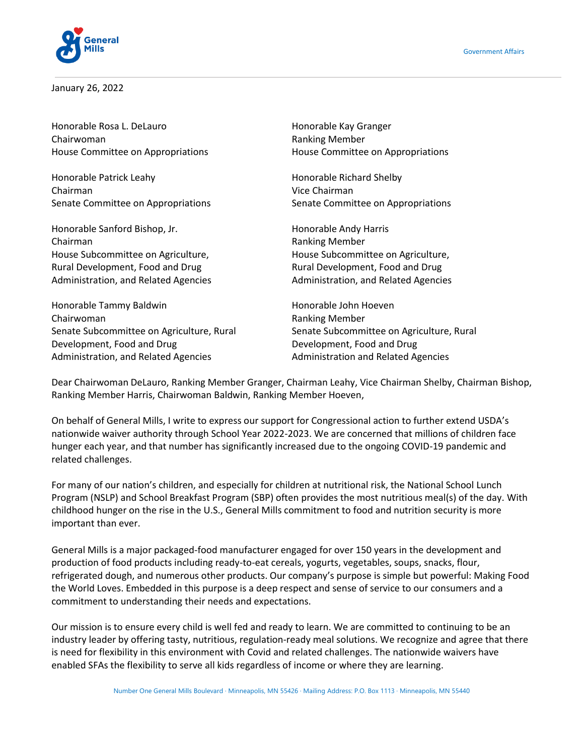



January 26, 2022

Honorable Rosa L. DeLauro **Honorable Kay Granger** Chairwoman Ranking Member

Honorable Patrick Leahy **Honorable Richard Shelby** Chairman Vice Chairman Senate Committee on Appropriations Senate Committee on Appropriations

Honorable Sanford Bishop, Jr. Honorable Andy Harris Chairman **Ranking Member** Ranking Member House Subcommittee on Agriculture, House Subcommittee on Agriculture, Rural Development, Food and Drug Rural Development, Food and Drug

Honorable Tammy Baldwin **Honorable John Hoeven** Honorable John Hoeven Chairwoman **Chairwoman Ranking Member** Senate Subcommittee on Agriculture, Rural Senate Subcommittee on Agriculture, Rural Development, Food and Drug Development, Food and Drug Administration, and Related Agencies **Administration and Related Agencies** Administration and Related Agencies

House Committee on Appropriations House Committee on Appropriations

Administration, and Related Agencies **Administration, and Related Agencies** Administration, and Related Agencies

Dear Chairwoman DeLauro, Ranking Member Granger, Chairman Leahy, Vice Chairman Shelby, Chairman Bishop, Ranking Member Harris, Chairwoman Baldwin, Ranking Member Hoeven,

On behalf of General Mills, I write to express our support for Congressional action to further extend USDA's nationwide waiver authority through School Year 2022-2023. We are concerned that millions of children face hunger each year, and that number has significantly increased due to the ongoing COVID-19 pandemic and related challenges.

For many of our nation's children, and especially for children at nutritional risk, the National School Lunch Program (NSLP) and School Breakfast Program (SBP) often provides the most nutritious meal(s) of the day. With childhood hunger on the rise in the U.S., General Mills commitment to food and nutrition security is more important than ever.

General Mills is a major packaged-food manufacturer engaged for over 150 years in the development and production of food products including ready-to-eat cereals, yogurts, vegetables, soups, snacks, flour, refrigerated dough, and numerous other products. Our company's purpose is simple but powerful: Making Food the World Loves. Embedded in this purpose is a deep respect and sense of service to our consumers and a commitment to understanding their needs and expectations.

Our mission is to ensure every child is well fed and ready to learn. We are committed to continuing to be an industry leader by offering tasty, nutritious, regulation-ready meal solutions. We recognize and agree that there is need for flexibility in this environment with Covid and related challenges. The nationwide waivers have enabled SFAs the flexibility to serve all kids regardless of income or where they are learning.